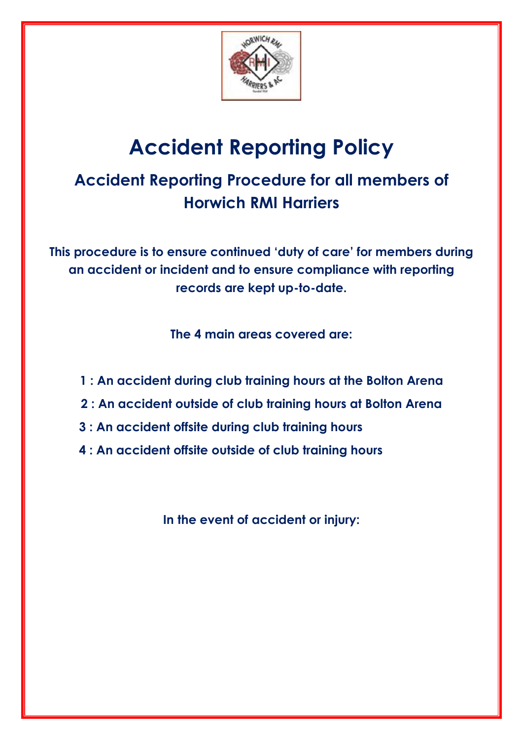

# **Accident Reporting Policy**

## **Accident Reporting Procedure for all members of Horwich RMI Harriers**

**This procedure is to ensure continued 'duty of care' for members during an accident or incident and to ensure compliance with reporting records are kept up-to-date.**

**The 4 main areas covered are:**

- **1 : An accident during club training hours at the Bolton Arena**
- **2 : An accident outside of club training hours at Bolton Arena**
- **3 : An accident offsite during club training hours**
- **4 : An accident offsite outside of club training hours**

**In the event of accident or injury:**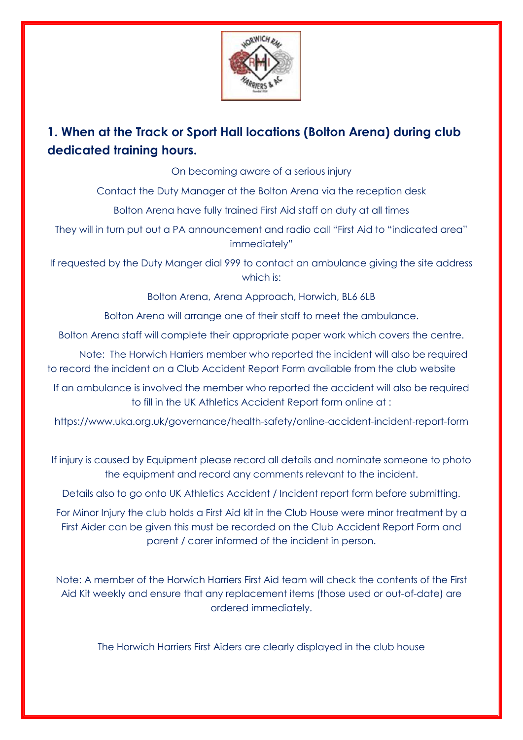

### **1. When at the Track or Sport Hall locations (Bolton Arena) during club dedicated training hours.**

On becoming aware of a serious injury

Contact the Duty Manager at the Bolton Arena via the reception desk

Bolton Arena have fully trained First Aid staff on duty at all times

They will in turn put out a PA announcement and radio call "First Aid to "indicated area" immediately"

If requested by the Duty Manger dial 999 to contact an ambulance giving the site address which is:

Bolton Arena, Arena Approach, Horwich, BL6 6LB

Bolton Arena will arrange one of their staff to meet the ambulance.

Bolton Arena staff will complete their appropriate paper work which covers the centre.

Note: The Horwich Harriers member who reported the incident will also be required to record the incident on a Club Accident Report Form available from the club website

If an ambulance is involved the member who reported the accident will also be required to fill in the UK Athletics Accident Report form online at :

https://www.uka.org.uk/governance/health-safety/online-accident-incident-report-form

If injury is caused by Equipment please record all details and nominate someone to photo the equipment and record any comments relevant to the incident.

Details also to go onto UK Athletics Accident / Incident report form before submitting.

For Minor Injury the club holds a First Aid kit in the Club House were minor treatment by a First Aider can be given this must be recorded on the Club Accident Report Form and parent / carer informed of the incident in person.

Note: A member of the Horwich Harriers First Aid team will check the contents of the First Aid Kit weekly and ensure that any replacement items (those used or out-of-date) are ordered immediately.

The Horwich Harriers First Aiders are clearly displayed in the club house